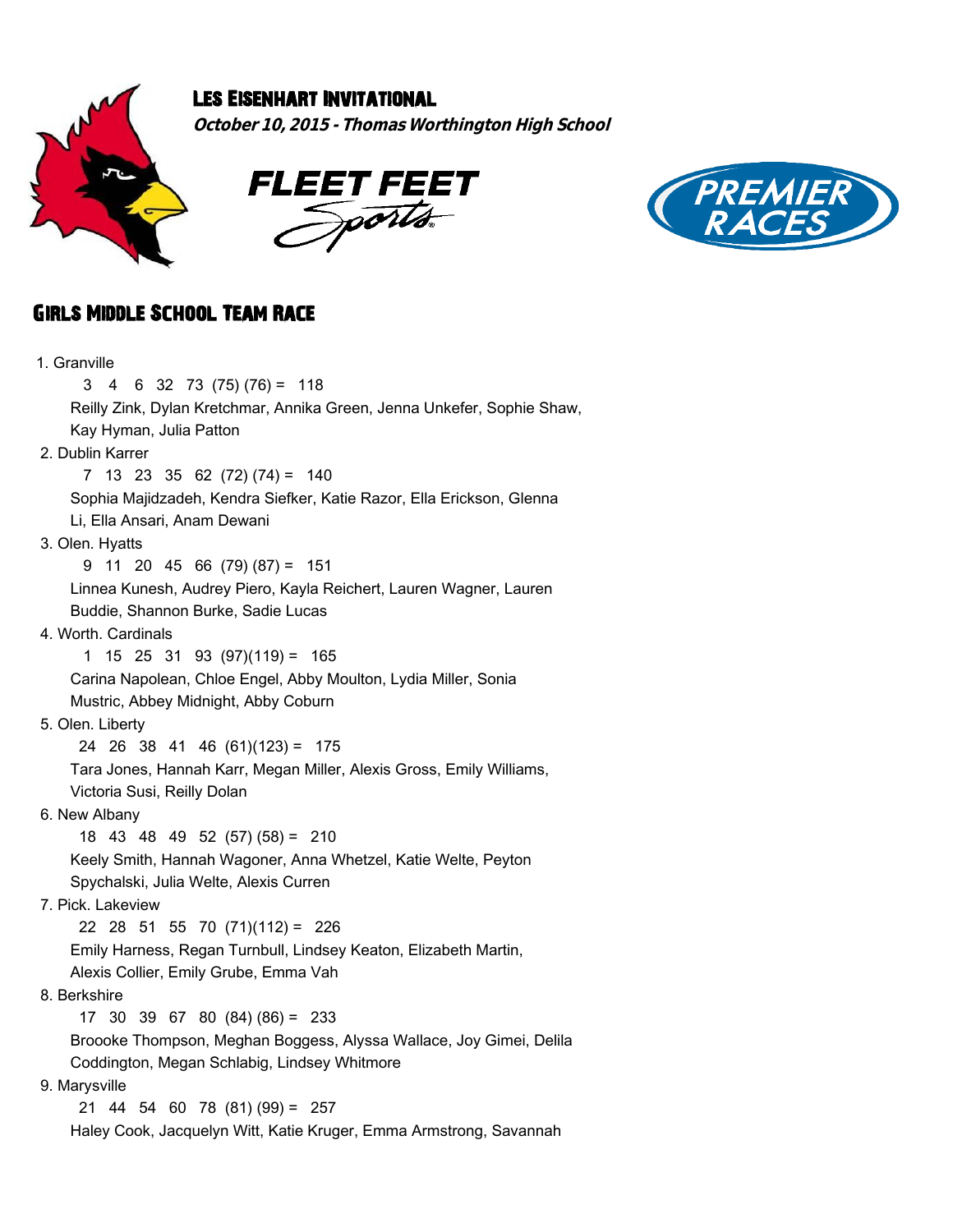

## Les Eisenhart Invitational

**October 10, 2015 - Thomas Worthington High School**





## Girls Middle School Team Race

| 1. Granville                                                                                         |
|------------------------------------------------------------------------------------------------------|
| 3<br>$6 \quad 32 \quad 73 \quad (75) \quad (76) = 118$<br>$4 \quad$                                  |
| Reilly Zink, Dylan Kretchmar, Annika Green, Jenna Unkefer, Sophie Shaw,                              |
| Kay Hyman, Julia Patton                                                                              |
| 2. Dublin Karrer                                                                                     |
| $7 \t13 \t23 \t35 \t62 \t(72) \t(74) = 140$                                                          |
| Sophia Majidzadeh, Kendra Siefker, Katie Razor, Ella Erickson, Glenna                                |
| Li, Ella Ansari, Anam Dewani                                                                         |
| 3. Olen. Hyatts                                                                                      |
| $9$ 11 20 45 66 (79) (87) = 151                                                                      |
| Linnea Kunesh, Audrey Piero, Kayla Reichert, Lauren Wagner, Lauren                                   |
| Buddie, Shannon Burke, Sadie Lucas                                                                   |
| 4. Worth. Cardinals                                                                                  |
| $1 \t15 \t25 \t31 \t93 \t(97)(119) = 165$                                                            |
| Carina Napolean, Chloe Engel, Abby Moulton, Lydia Miller, Sonia                                      |
| Mustric, Abbey Midnight, Abby Coburn                                                                 |
| 5. Olen. Liberty                                                                                     |
| 24 26 38 41 46 (61)(123) = 175                                                                       |
| Tara Jones, Hannah Karr, Megan Miller, Alexis Gross, Emily Williams,                                 |
| Victoria Susi, Reilly Dolan                                                                          |
| 6. New Albany                                                                                        |
| 18 43 48 49 52 (57) (58) = 210                                                                       |
| Keely Smith, Hannah Wagoner, Anna Whetzel, Katie Welte, Peyton                                       |
| Spychalski, Julia Welte, Alexis Curren                                                               |
| 7. Pick. Lakeview                                                                                    |
| 22 28 51 55 70 $(71)(112) = 226$<br>Emily Harness, Regan Turnbull, Lindsey Keaton, Elizabeth Martin, |
| Alexis Collier, Emily Grube, Emma Vah                                                                |
| 8. Berkshire                                                                                         |
| $17$ 30 39 67 80 (84) (86) = 233                                                                     |
| Broooke Thompson, Meghan Boggess, Alyssa Wallace, Joy Gimei, Delila                                  |
| Coddington, Megan Schlabig, Lindsey Whitmore                                                         |
| 9. Marysville                                                                                        |
| $21$ 44 54 60 78 (81) (99) = 257                                                                     |
| Haley Cook, Jacquelyn Witt, Katie Kruger, Emma Armstrong, Savannah                                   |
|                                                                                                      |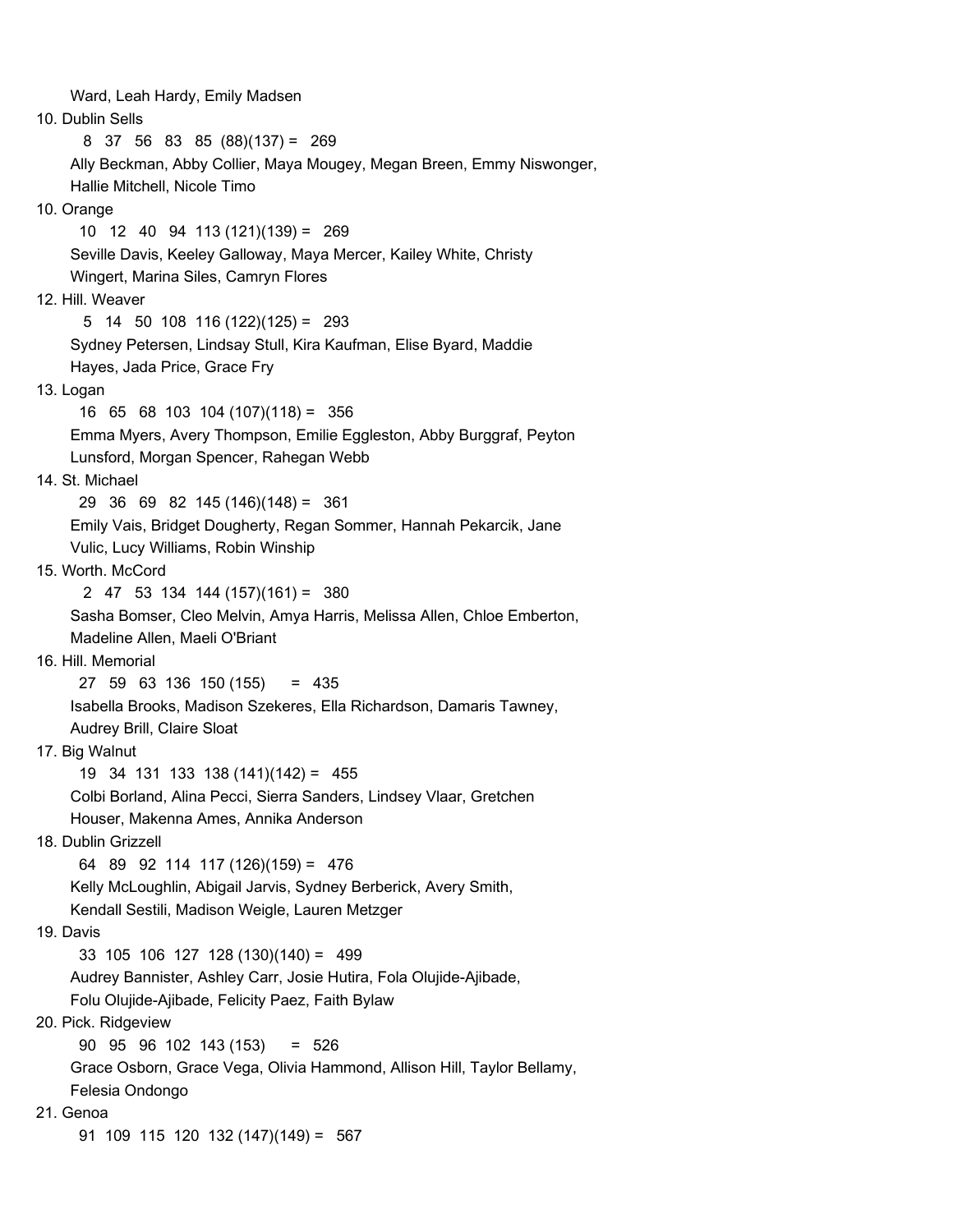Ward, Leah Hardy, Emily Madsen 10. Dublin Sells 8 37 56 83 85 (88)(137) = 269 Ally Beckman, Abby Collier, Maya Mougey, Megan Breen, Emmy Niswonger, Hallie Mitchell, Nicole Timo 10. Orange 10 12 40 94 113 (121)(139) = 269 Seville Davis, Keeley Galloway, Maya Mercer, Kailey White, Christy Wingert, Marina Siles, Camryn Flores 12. Hill. Weaver 5 14 50 108 116 (122)(125) = 293 Sydney Petersen, Lindsay Stull, Kira Kaufman, Elise Byard, Maddie Hayes, Jada Price, Grace Fry 13. Logan 16 65 68 103 104 (107)(118) = 356 Emma Myers, Avery Thompson, Emilie Eggleston, Abby Burggraf, Peyton Lunsford, Morgan Spencer, Rahegan Webb 14. St. Michael 29 36 69 82 145 (146)(148) = 361 Emily Vais, Bridget Dougherty, Regan Sommer, Hannah Pekarcik, Jane Vulic, Lucy Williams, Robin Winship 15. Worth. McCord 2 47 53 134 144 (157)(161) = 380 Sasha Bomser, Cleo Melvin, Amya Harris, Melissa Allen, Chloe Emberton, Madeline Allen, Maeli O'Briant 16. Hill. Memorial 27 59 63 136 150 (155) = 435 Isabella Brooks, Madison Szekeres, Ella Richardson, Damaris Tawney, Audrey Brill, Claire Sloat 17. Big Walnut 19 34 131 133 138 (141)(142) = 455 Colbi Borland, Alina Pecci, Sierra Sanders, Lindsey Vlaar, Gretchen Houser, Makenna Ames, Annika Anderson 18. Dublin Grizzell 64 89 92 114 117 (126)(159) = 476 Kelly McLoughlin, Abigail Jarvis, Sydney Berberick, Avery Smith, Kendall Sestili, Madison Weigle, Lauren Metzger 19. Davis 33 105 106 127 128 (130)(140) = 499 Audrey Bannister, Ashley Carr, Josie Hutira, Fola Olujide-Ajibade, Folu Olujide-Ajibade, Felicity Paez, Faith Bylaw 20. Pick. Ridgeview 90 95 96 102 143 (153) = 526 Grace Osborn, Grace Vega, Olivia Hammond, Allison Hill, Taylor Bellamy, Felesia Ondongo 21. Genoa 91 109 115 120 132 (147)(149) = 567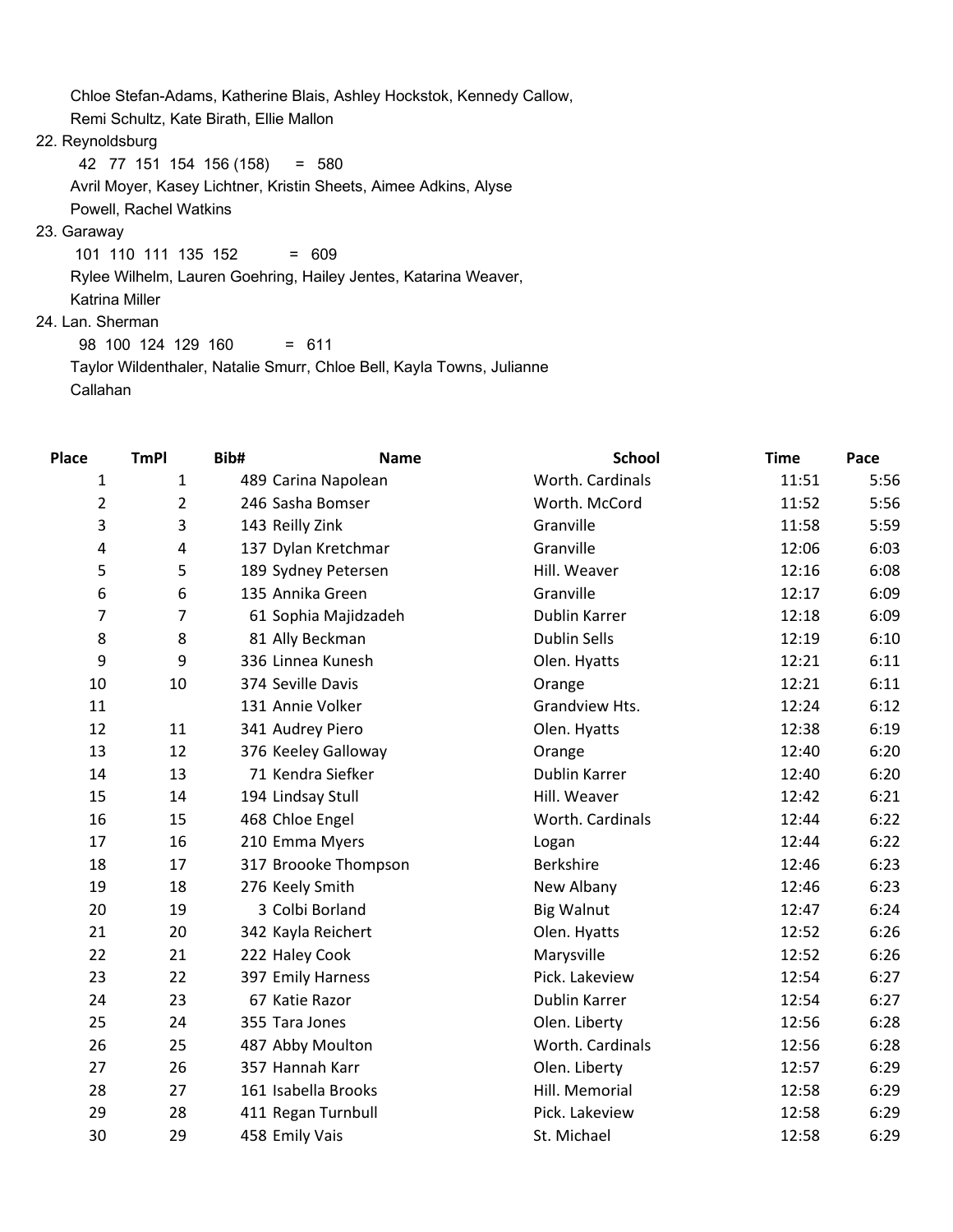Chloe Stefan-Adams, Katherine Blais, Ashley Hockstok, Kennedy Callow,

Remi Schultz, Kate Birath, Ellie Mallon

22. Reynoldsburg

42 77 151 154 156 (158) = 580

 Avril Moyer, Kasey Lichtner, Kristin Sheets, Aimee Adkins, Alyse Powell, Rachel Watkins

## 23. Garaway

101 110 111 135 152 = 609

Rylee Wilhelm, Lauren Goehring, Hailey Jentes, Katarina Weaver,

Katrina Miller

## 24. Lan. Sherman

 98 100 124 129 160 = 611 Taylor Wildenthaler, Natalie Smurr, Chloe Bell, Kayla Towns, Julianne Callahan

| <b>Place</b>   | <b>TmPI</b>    | Bib#                 | <b>Name</b> |                   | <b>School</b>       | <b>Time</b> | Pace |
|----------------|----------------|----------------------|-------------|-------------------|---------------------|-------------|------|
| $\mathbf{1}$   | 1              | 489 Carina Napolean  |             |                   | Worth. Cardinals    | 11:51       | 5:56 |
| $\overline{2}$ | $\overline{2}$ | 246 Sasha Bomser     |             |                   | Worth. McCord       | 11:52       | 5:56 |
| 3              | 3              | 143 Reilly Zink      |             | Granville         |                     | 11:58       | 5:59 |
| 4              | 4              | 137 Dylan Kretchmar  |             | Granville         |                     | 12:06       | 6:03 |
| 5              | 5              | 189 Sydney Petersen  |             |                   | Hill. Weaver        | 12:16       | 6:08 |
| 6              | 6              | 135 Annika Green     |             | Granville         |                     | 12:17       | 6:09 |
| $\overline{7}$ | 7              | 61 Sophia Majidzadeh |             |                   | Dublin Karrer       | 12:18       | 6:09 |
| 8              | 8              | 81 Ally Beckman      |             |                   | <b>Dublin Sells</b> | 12:19       | 6:10 |
| 9              | 9              | 336 Linnea Kunesh    |             |                   | Olen. Hyatts        | 12:21       | 6:11 |
| 10             | 10             | 374 Seville Davis    |             | Orange            |                     | 12:21       | 6:11 |
| 11             |                | 131 Annie Volker     |             |                   | Grandview Hts.      | 12:24       | 6:12 |
| 12             | 11             | 341 Audrey Piero     |             |                   | Olen. Hyatts        | 12:38       | 6:19 |
| 13             | 12             | 376 Keeley Galloway  |             | Orange            |                     | 12:40       | 6:20 |
| 14             | 13             | 71 Kendra Siefker    |             |                   | Dublin Karrer       | 12:40       | 6:20 |
| 15             | 14             | 194 Lindsay Stull    |             |                   | Hill. Weaver        | 12:42       | 6:21 |
| 16             | 15             | 468 Chloe Engel      |             |                   | Worth. Cardinals    | 12:44       | 6:22 |
| 17             | 16             | 210 Emma Myers       |             | Logan             |                     | 12:44       | 6:22 |
| 18             | 17             | 317 Broooke Thompson |             | Berkshire         |                     | 12:46       | 6:23 |
| 19             | 18             | 276 Keely Smith      |             |                   | New Albany          | 12:46       | 6:23 |
| 20             | 19             | 3 Colbi Borland      |             | <b>Big Walnut</b> |                     | 12:47       | 6:24 |
| 21             | 20             | 342 Kayla Reichert   |             |                   | Olen. Hyatts        | 12:52       | 6:26 |
| 22             | 21             | 222 Haley Cook       |             | Marysville        |                     | 12:52       | 6:26 |
| 23             | 22             | 397 Emily Harness    |             |                   | Pick. Lakeview      | 12:54       | 6:27 |
| 24             | 23             | 67 Katie Razor       |             |                   | Dublin Karrer       | 12:54       | 6:27 |
| 25             | 24             | 355 Tara Jones       |             |                   | Olen. Liberty       | 12:56       | 6:28 |
| 26             | 25             | 487 Abby Moulton     |             |                   | Worth. Cardinals    | 12:56       | 6:28 |
| 27             | 26             | 357 Hannah Karr      |             |                   | Olen. Liberty       | 12:57       | 6:29 |
| 28             | 27             | 161 Isabella Brooks  |             |                   | Hill. Memorial      | 12:58       | 6:29 |
| 29             | 28             | 411 Regan Turnbull   |             |                   | Pick. Lakeview      | 12:58       | 6:29 |
| 30             | 29             | 458 Emily Vais       |             | St. Michael       |                     | 12:58       | 6:29 |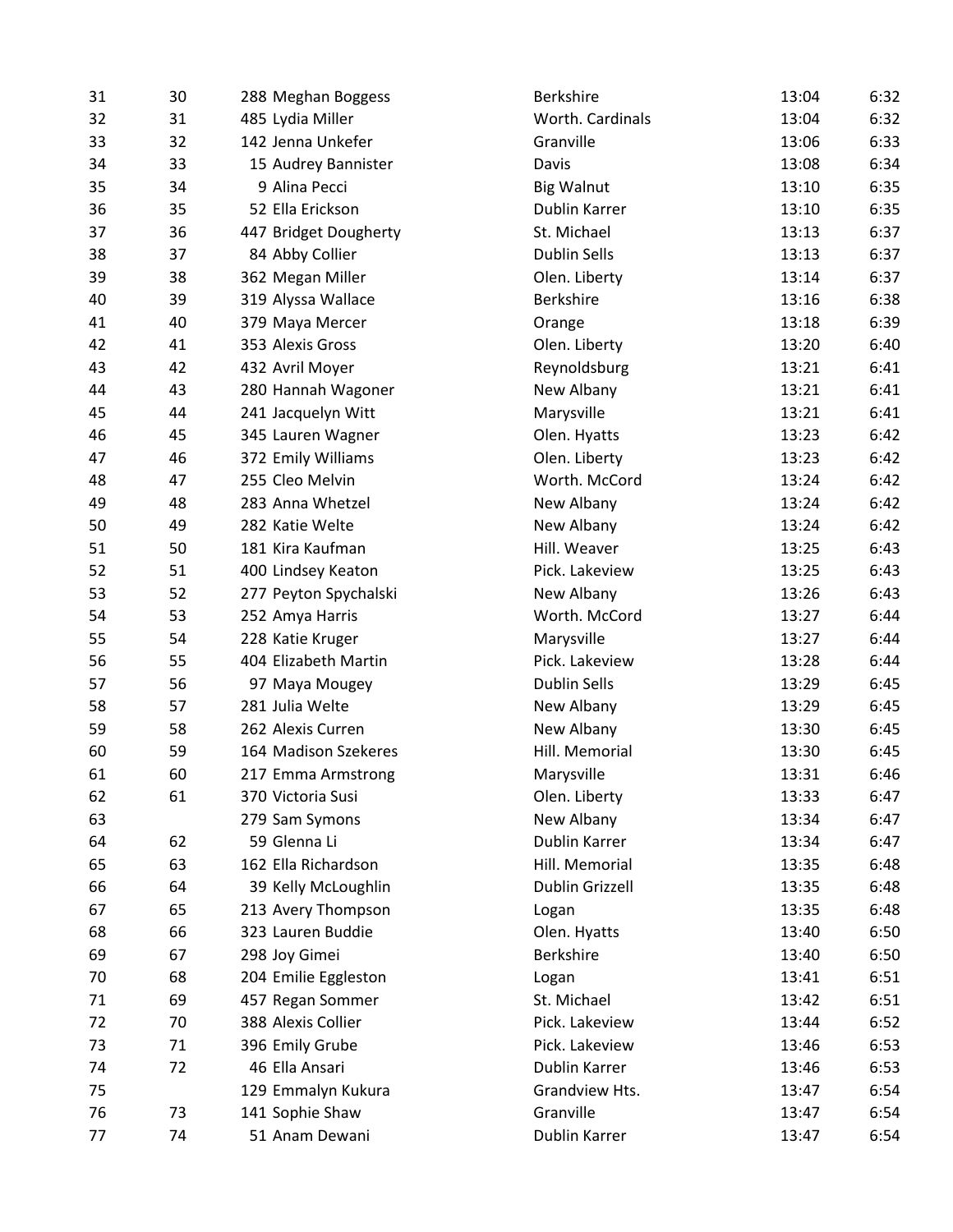| 31 | 30 | 288 Meghan Boggess    | <b>Berkshire</b>  | 13:04<br>6:32 |
|----|----|-----------------------|-------------------|---------------|
| 32 | 31 | 485 Lydia Miller      | Worth. Cardinals  | 6:32<br>13:04 |
| 33 | 32 | 142 Jenna Unkefer     | Granville         | 6:33<br>13:06 |
| 34 | 33 | 15 Audrey Bannister   | Davis             | 13:08<br>6:34 |
| 35 | 34 | 9 Alina Pecci         | <b>Big Walnut</b> | 6:35<br>13:10 |
| 36 | 35 | 52 Ella Erickson      | Dublin Karrer     | 13:10<br>6:35 |
| 37 | 36 | 447 Bridget Dougherty | St. Michael       | 6:37<br>13:13 |
| 38 | 37 | 84 Abby Collier       | Dublin Sells      | 13:13<br>6:37 |
| 39 | 38 | 362 Megan Miller      | Olen. Liberty     | 6:37<br>13:14 |
| 40 | 39 | 319 Alyssa Wallace    | Berkshire         | 13:16<br>6:38 |
| 41 | 40 | 379 Maya Mercer       | Orange            | 13:18<br>6:39 |
| 42 | 41 | 353 Alexis Gross      | Olen. Liberty     | 13:20<br>6:40 |
| 43 | 42 | 432 Avril Moyer       | Reynoldsburg      | 13:21<br>6:41 |
| 44 | 43 | 280 Hannah Wagoner    | New Albany        | 13:21<br>6:41 |
| 45 | 44 | 241 Jacquelyn Witt    | Marysville        | 13:21<br>6:41 |
| 46 | 45 | 345 Lauren Wagner     | Olen. Hyatts      | 13:23<br>6:42 |
| 47 | 46 | 372 Emily Williams    | Olen. Liberty     | 13:23<br>6:42 |
| 48 | 47 | 255 Cleo Melvin       | Worth. McCord     | 13:24<br>6:42 |
| 49 | 48 | 283 Anna Whetzel      | New Albany        | 6:42<br>13:24 |
| 50 | 49 | 282 Katie Welte       | New Albany        | 13:24<br>6:42 |
| 51 | 50 | 181 Kira Kaufman      | Hill. Weaver      | 6:43<br>13:25 |
| 52 | 51 | 400 Lindsey Keaton    | Pick. Lakeview    | 13:25<br>6:43 |
| 53 | 52 | 277 Peyton Spychalski | New Albany        | 13:26<br>6:43 |
| 54 | 53 | 252 Amya Harris       | Worth. McCord     | 13:27<br>6:44 |
| 55 | 54 | 228 Katie Kruger      | Marysville        | 13:27<br>6:44 |
| 56 | 55 | 404 Elizabeth Martin  | Pick. Lakeview    | 13:28<br>6:44 |
| 57 | 56 | 97 Maya Mougey        | Dublin Sells      | 13:29<br>6:45 |
| 58 | 57 | 281 Julia Welte       | New Albany        | 13:29<br>6:45 |
| 59 | 58 | 262 Alexis Curren     | New Albany        | 13:30<br>6:45 |
| 60 | 59 | 164 Madison Szekeres  | Hill. Memorial    | 13:30<br>6:45 |
| 61 | 60 | 217 Emma Armstrong    | Marysville        | 6:46<br>13:31 |
| 62 | 61 | 370 Victoria Susi     | Olen. Liberty     | 13:33<br>6:47 |
| 63 |    | 279 Sam Symons        | New Albany        | 6:47<br>13:34 |
| 64 | 62 | 59 Glenna Li          | Dublin Karrer     | 13:34<br>6:47 |
| 65 | 63 | 162 Ella Richardson   | Hill. Memorial    | 13:35<br>6:48 |
| 66 | 64 | 39 Kelly McLoughlin   | Dublin Grizzell   | 13:35<br>6:48 |
| 67 | 65 | 213 Avery Thompson    | Logan             | 13:35<br>6:48 |
| 68 | 66 | 323 Lauren Buddie     | Olen. Hyatts      | 6:50<br>13:40 |
| 69 | 67 | 298 Joy Gimei         | Berkshire         | 13:40<br>6:50 |
| 70 | 68 | 204 Emilie Eggleston  | Logan             | 6:51<br>13:41 |
| 71 | 69 | 457 Regan Sommer      | St. Michael       | 13:42<br>6:51 |
| 72 | 70 | 388 Alexis Collier    | Pick. Lakeview    | 13:44<br>6:52 |
| 73 | 71 | 396 Emily Grube       | Pick. Lakeview    | 6:53<br>13:46 |
| 74 | 72 | 46 Ella Ansari        | Dublin Karrer     | 13:46<br>6:53 |
| 75 |    | 129 Emmalyn Kukura    | Grandview Hts.    | 6:54<br>13:47 |
| 76 | 73 | 141 Sophie Shaw       | Granville         | 6:54<br>13:47 |
| 77 | 74 | 51 Anam Dewani        | Dublin Karrer     | 6:54<br>13:47 |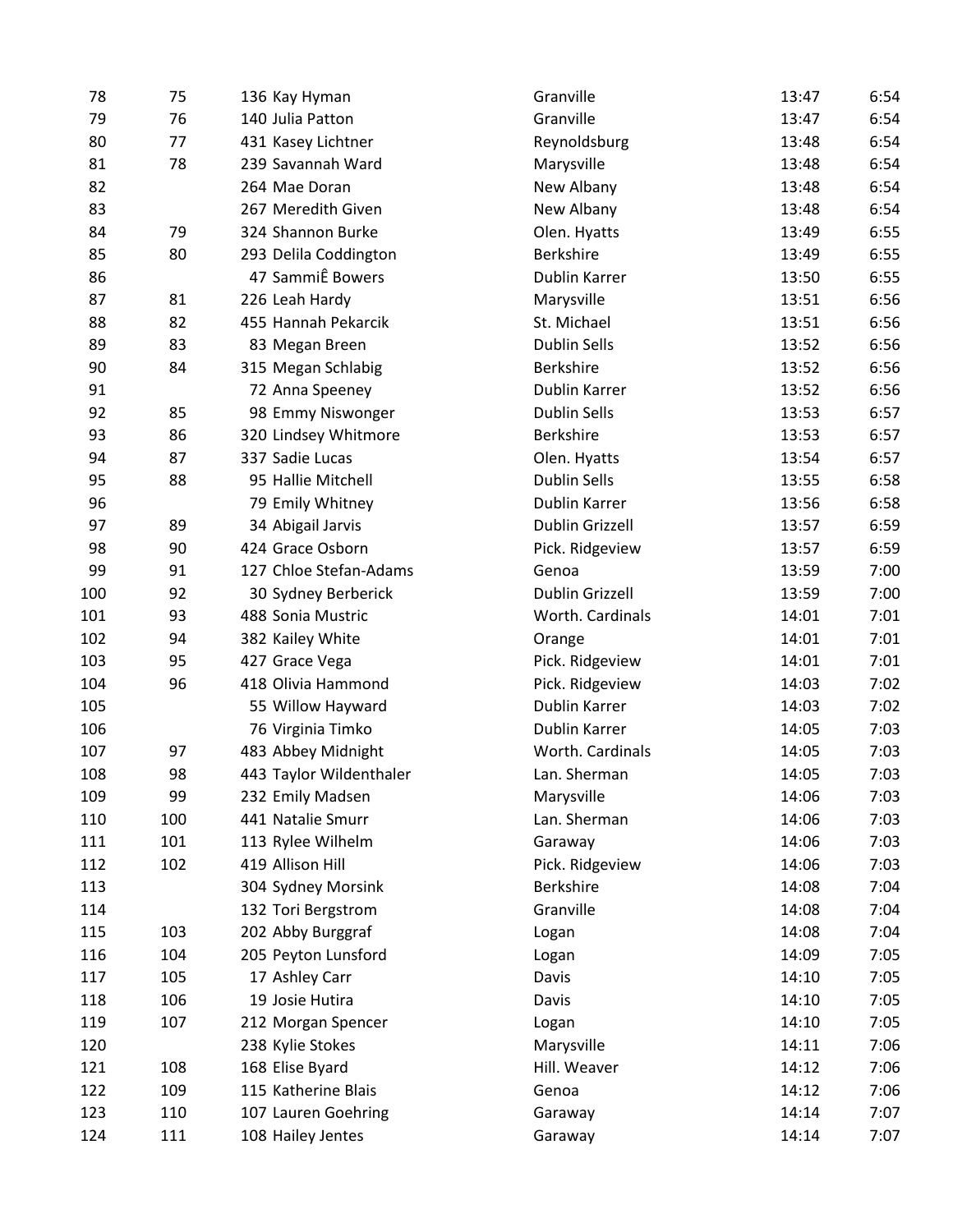| 78  | 75  | 136 Kay Hyman           | Granville              | 13:47 | 6:54 |
|-----|-----|-------------------------|------------------------|-------|------|
| 79  | 76  | 140 Julia Patton        | Granville              | 13:47 | 6:54 |
| 80  | 77  | 431 Kasey Lichtner      | Reynoldsburg           | 13:48 | 6:54 |
| 81  | 78  | 239 Savannah Ward       | Marysville             | 13:48 | 6:54 |
| 82  |     | 264 Mae Doran           | New Albany             | 13:48 | 6:54 |
| 83  |     | 267 Meredith Given      | New Albany             | 13:48 | 6:54 |
| 84  | 79  | 324 Shannon Burke       | Olen. Hyatts           | 13:49 | 6:55 |
| 85  | 80  | 293 Delila Coddington   | Berkshire              | 13:49 | 6:55 |
| 86  |     | 47 SammiÊ Bowers        | Dublin Karrer          | 13:50 | 6:55 |
| 87  | 81  | 226 Leah Hardy          | Marysville             | 13:51 | 6:56 |
| 88  | 82  | 455 Hannah Pekarcik     | St. Michael            | 13:51 | 6:56 |
| 89  | 83  | 83 Megan Breen          | <b>Dublin Sells</b>    | 13:52 | 6:56 |
| 90  | 84  | 315 Megan Schlabig      | Berkshire              | 13:52 | 6:56 |
| 91  |     | 72 Anna Speeney         | Dublin Karrer          | 13:52 | 6:56 |
| 92  | 85  | 98 Emmy Niswonger       | <b>Dublin Sells</b>    | 13:53 | 6:57 |
| 93  | 86  | 320 Lindsey Whitmore    | Berkshire              | 13:53 | 6:57 |
| 94  | 87  | 337 Sadie Lucas         | Olen. Hyatts           | 13:54 | 6:57 |
| 95  | 88  | 95 Hallie Mitchell      | <b>Dublin Sells</b>    | 13:55 | 6:58 |
| 96  |     | 79 Emily Whitney        | Dublin Karrer          | 13:56 | 6:58 |
| 97  | 89  | 34 Abigail Jarvis       | Dublin Grizzell        | 13:57 | 6:59 |
| 98  | 90  | 424 Grace Osborn        | Pick. Ridgeview        | 13:57 | 6:59 |
| 99  | 91  | 127 Chloe Stefan-Adams  | Genoa                  | 13:59 | 7:00 |
| 100 | 92  | 30 Sydney Berberick     | <b>Dublin Grizzell</b> | 13:59 | 7:00 |
| 101 | 93  | 488 Sonia Mustric       | Worth. Cardinals       | 14:01 | 7:01 |
| 102 | 94  | 382 Kailey White        | Orange                 | 14:01 | 7:01 |
| 103 | 95  | 427 Grace Vega          | Pick. Ridgeview        | 14:01 | 7:01 |
| 104 | 96  | 418 Olivia Hammond      | Pick. Ridgeview        | 14:03 | 7:02 |
| 105 |     | 55 Willow Hayward       | Dublin Karrer          | 14:03 | 7:02 |
| 106 |     | 76 Virginia Timko       | Dublin Karrer          | 14:05 | 7:03 |
| 107 | 97  | 483 Abbey Midnight      | Worth. Cardinals       | 14:05 | 7:03 |
| 108 | 98  | 443 Taylor Wildenthaler | Lan. Sherman           | 14:05 | 7:03 |
| 109 | 99  | 232 Emily Madsen        | Marysville             | 14:06 | 7:03 |
| 110 | 100 | 441 Natalie Smurr       | Lan. Sherman           | 14:06 | 7:03 |
| 111 | 101 | 113 Rylee Wilhelm       | Garaway                | 14:06 | 7:03 |
| 112 | 102 | 419 Allison Hill        | Pick. Ridgeview        | 14:06 | 7:03 |
| 113 |     | 304 Sydney Morsink      | Berkshire              | 14:08 | 7:04 |
| 114 |     | 132 Tori Bergstrom      | Granville              | 14:08 | 7:04 |
| 115 | 103 | 202 Abby Burggraf       | Logan                  | 14:08 | 7:04 |
| 116 | 104 | 205 Peyton Lunsford     | Logan                  | 14:09 | 7:05 |
| 117 | 105 | 17 Ashley Carr          | Davis                  | 14:10 | 7:05 |
| 118 | 106 | 19 Josie Hutira         | Davis                  | 14:10 | 7:05 |
| 119 | 107 | 212 Morgan Spencer      | Logan                  | 14:10 | 7:05 |
| 120 |     | 238 Kylie Stokes        | Marysville             | 14:11 | 7:06 |
| 121 | 108 | 168 Elise Byard         | Hill. Weaver           | 14:12 | 7:06 |
| 122 | 109 | 115 Katherine Blais     | Genoa                  | 14:12 | 7:06 |
| 123 | 110 | 107 Lauren Goehring     | Garaway                | 14:14 | 7:07 |
| 124 | 111 | 108 Hailey Jentes       | Garaway                | 14:14 | 7:07 |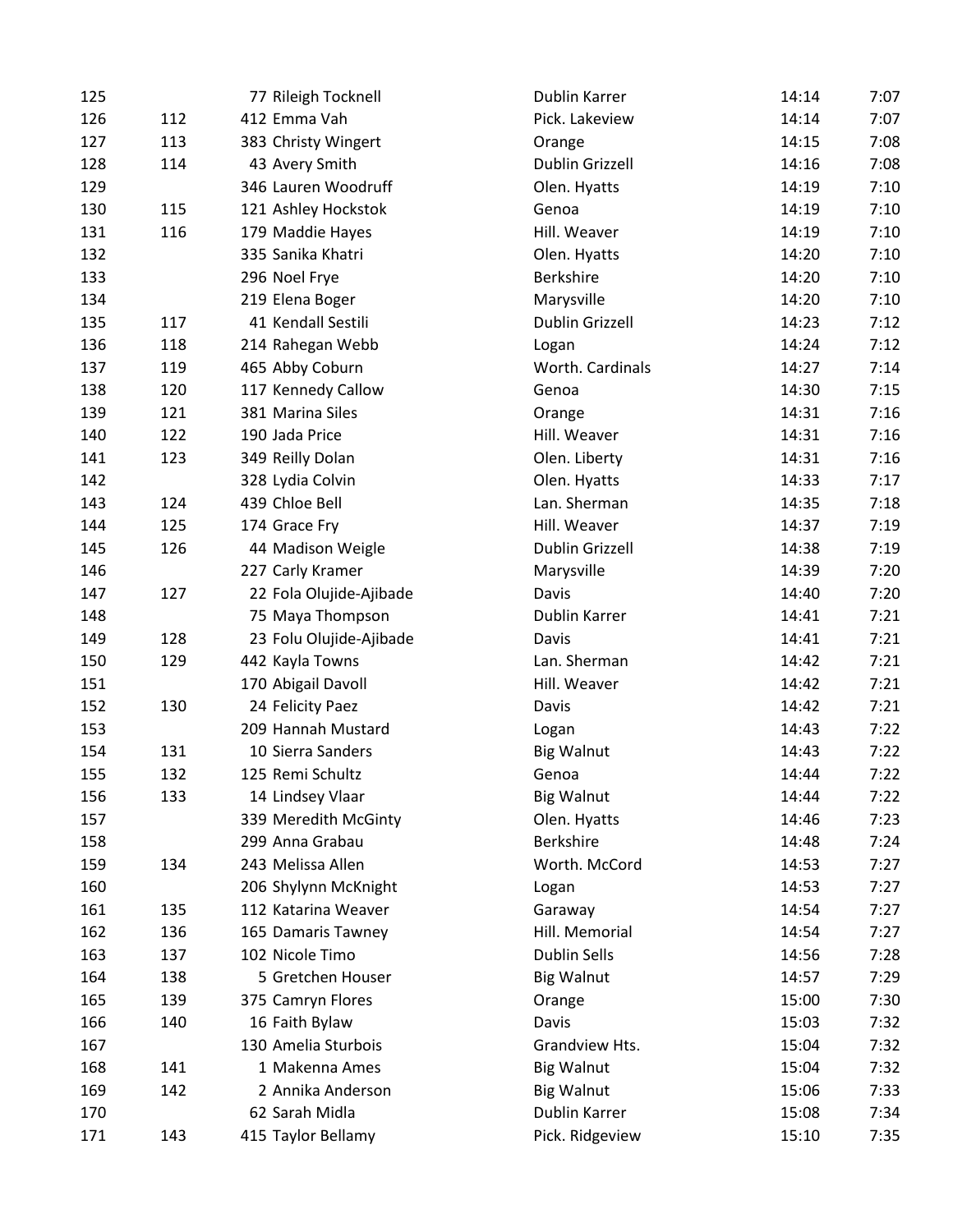| 125 |     | 77 Rileigh Tocknell     | Dublin Karrer          | 14:14 | 7:07 |
|-----|-----|-------------------------|------------------------|-------|------|
| 126 | 112 | 412 Emma Vah            | Pick. Lakeview         | 14:14 | 7:07 |
| 127 | 113 | 383 Christy Wingert     | Orange                 | 14:15 | 7:08 |
| 128 | 114 | 43 Avery Smith          | <b>Dublin Grizzell</b> | 14:16 | 7:08 |
| 129 |     | 346 Lauren Woodruff     | Olen. Hyatts           | 14:19 | 7:10 |
| 130 | 115 | 121 Ashley Hockstok     | Genoa                  | 14:19 | 7:10 |
| 131 | 116 | 179 Maddie Hayes        | Hill. Weaver           | 14:19 | 7:10 |
| 132 |     | 335 Sanika Khatri       | Olen. Hyatts           | 14:20 | 7:10 |
| 133 |     | 296 Noel Frye           | <b>Berkshire</b>       | 14:20 | 7:10 |
| 134 |     | 219 Elena Boger         | Marysville             | 14:20 | 7:10 |
| 135 | 117 | 41 Kendall Sestili      | Dublin Grizzell        | 14:23 | 7:12 |
| 136 | 118 | 214 Rahegan Webb        | Logan                  | 14:24 | 7:12 |
| 137 | 119 | 465 Abby Coburn         | Worth. Cardinals       | 14:27 | 7:14 |
| 138 | 120 | 117 Kennedy Callow      | Genoa                  | 14:30 | 7:15 |
| 139 | 121 | 381 Marina Siles        | Orange                 | 14:31 | 7:16 |
| 140 | 122 | 190 Jada Price          | Hill. Weaver           | 14:31 | 7:16 |
| 141 | 123 | 349 Reilly Dolan        | Olen. Liberty          | 14:31 | 7:16 |
| 142 |     | 328 Lydia Colvin        | Olen. Hyatts           | 14:33 | 7:17 |
| 143 | 124 | 439 Chloe Bell          | Lan. Sherman           | 14:35 | 7:18 |
| 144 | 125 | 174 Grace Fry           | Hill. Weaver           | 14:37 | 7:19 |
| 145 | 126 | 44 Madison Weigle       | Dublin Grizzell        | 14:38 | 7:19 |
| 146 |     | 227 Carly Kramer        | Marysville             | 14:39 | 7:20 |
| 147 | 127 | 22 Fola Olujide-Ajibade | Davis                  | 14:40 | 7:20 |
| 148 |     | 75 Maya Thompson        | Dublin Karrer          | 14:41 | 7:21 |
| 149 | 128 | 23 Folu Olujide-Ajibade | Davis                  | 14:41 | 7:21 |
| 150 | 129 | 442 Kayla Towns         | Lan. Sherman           | 14:42 | 7:21 |
| 151 |     | 170 Abigail Davoll      | Hill. Weaver           | 14:42 | 7:21 |
| 152 | 130 | 24 Felicity Paez        | Davis                  | 14:42 | 7:21 |
| 153 |     | 209 Hannah Mustard      | Logan                  | 14:43 | 7:22 |
| 154 | 131 | 10 Sierra Sanders       | <b>Big Walnut</b>      | 14:43 | 7:22 |
| 155 | 132 | 125 Remi Schultz        | Genoa                  | 14:44 | 7:22 |
| 156 | 133 | 14 Lindsey Vlaar        | <b>Big Walnut</b>      | 14:44 | 7:22 |
| 157 |     | 339 Meredith McGinty    | Olen. Hyatts           | 14:46 | 7:23 |
| 158 |     | 299 Anna Grabau         | Berkshire              | 14:48 | 7:24 |
| 159 | 134 | 243 Melissa Allen       | Worth. McCord          | 14:53 | 7:27 |
| 160 |     | 206 Shylynn McKnight    | Logan                  | 14:53 | 7:27 |
| 161 | 135 | 112 Katarina Weaver     | Garaway                | 14:54 | 7:27 |
| 162 | 136 | 165 Damaris Tawney      | Hill. Memorial         | 14:54 | 7:27 |
| 163 | 137 | 102 Nicole Timo         | <b>Dublin Sells</b>    | 14:56 | 7:28 |
| 164 | 138 | 5 Gretchen Houser       | <b>Big Walnut</b>      | 14:57 | 7:29 |
| 165 | 139 | 375 Camryn Flores       | Orange                 | 15:00 | 7:30 |
| 166 | 140 | 16 Faith Bylaw          | Davis                  | 15:03 | 7:32 |
| 167 |     | 130 Amelia Sturbois     | Grandview Hts.         | 15:04 | 7:32 |
| 168 | 141 | 1 Makenna Ames          | <b>Big Walnut</b>      | 15:04 | 7:32 |
| 169 | 142 | 2 Annika Anderson       | <b>Big Walnut</b>      | 15:06 | 7:33 |
| 170 |     | 62 Sarah Midla          | Dublin Karrer          | 15:08 | 7:34 |
| 171 | 143 | 415 Taylor Bellamy      | Pick. Ridgeview        | 15:10 | 7:35 |